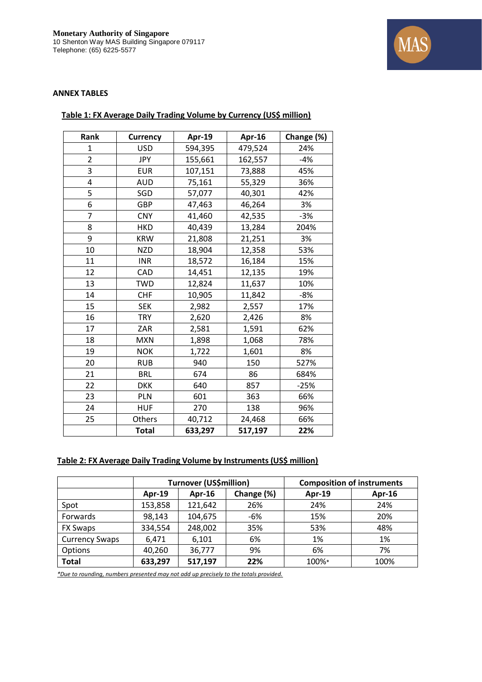

## **ANNEX TABLES**

| Rank           | <b>Currency</b> | Apr-19  | Apr-16  | Change (%) |
|----------------|-----------------|---------|---------|------------|
| 1              | <b>USD</b>      | 594,395 | 479,524 | 24%        |
| $\overline{2}$ | <b>JPY</b>      | 155,661 | 162,557 | $-4%$      |
| 3              | <b>EUR</b>      | 107,151 | 73,888  | 45%        |
| 4              | <b>AUD</b>      | 75,161  | 55,329  | 36%        |
| 5              | SGD             | 57,077  | 40,301  | 42%        |
| 6              | GBP             | 47,463  | 46,264  | 3%         |
| $\overline{7}$ | <b>CNY</b>      | 41,460  | 42,535  | $-3%$      |
| 8              | <b>HKD</b>      | 40,439  | 13,284  | 204%       |
| 9              | <b>KRW</b>      | 21,808  | 21,251  | 3%         |
| 10             | <b>NZD</b>      | 18,904  | 12,358  | 53%        |
| 11             | <b>INR</b>      | 18,572  | 16,184  | 15%        |
| 12             | CAD             | 14,451  | 12,135  | 19%        |
| 13             | <b>TWD</b>      | 12,824  | 11,637  | 10%        |
| 14             | <b>CHF</b>      | 10,905  | 11,842  | $-8%$      |
| 15             | <b>SEK</b>      | 2,982   | 2,557   | 17%        |
| 16             | <b>TRY</b>      | 2,620   | 2,426   | 8%         |
| 17             | ZAR             | 2,581   | 1,591   | 62%        |
| 18             | <b>MXN</b>      | 1,898   | 1,068   | 78%        |
| 19             | <b>NOK</b>      | 1,722   | 1,601   | 8%         |
| 20             | <b>RUB</b>      | 940     | 150     | 527%       |
| 21             | <b>BRL</b>      | 674     | 86      | 684%       |
| 22             | <b>DKK</b>      | 640     | 857     | $-25%$     |
| 23             | PLN             | 601     | 363     | 66%        |
| 24             | <b>HUF</b>      | 270     | 138     | 96%        |
| 25             | Others          | 40,712  | 24,468  | 66%        |
|                | <b>Total</b>    | 633,297 | 517,197 | 22%        |

## **Table 1: FX Average Daily Trading Volume by Currency (US\$ million)**

## **Table 2: FX Average Daily Trading Volume by Instruments (US\$ million)**

|                       | <b>Turnover (US\$million)</b> |         |            | <b>Composition of instruments</b> |               |
|-----------------------|-------------------------------|---------|------------|-----------------------------------|---------------|
|                       | <b>Apr-19</b>                 | Apr-16  | Change (%) | Apr-19                            | <b>Apr-16</b> |
| Spot                  | 153,858                       | 121,642 | 26%        | 24%                               | 24%           |
| Forwards              | 98,143                        | 104,675 | -6%        | 15%                               | 20%           |
| <b>FX Swaps</b>       | 334,554                       | 248,002 | 35%        | 53%                               | 48%           |
| <b>Currency Swaps</b> | 6,471                         | 6,101   | 6%         | 1%                                | 1%            |
| Options               | 40,260                        | 36,777  | 9%         | 6%                                | 7%            |
| <b>Total</b>          | 633,297                       | 517,197 | 22%        | 100%*                             | 100%          |

*\*Due to rounding, numbers presented may not add up precisely to the totals provided.*